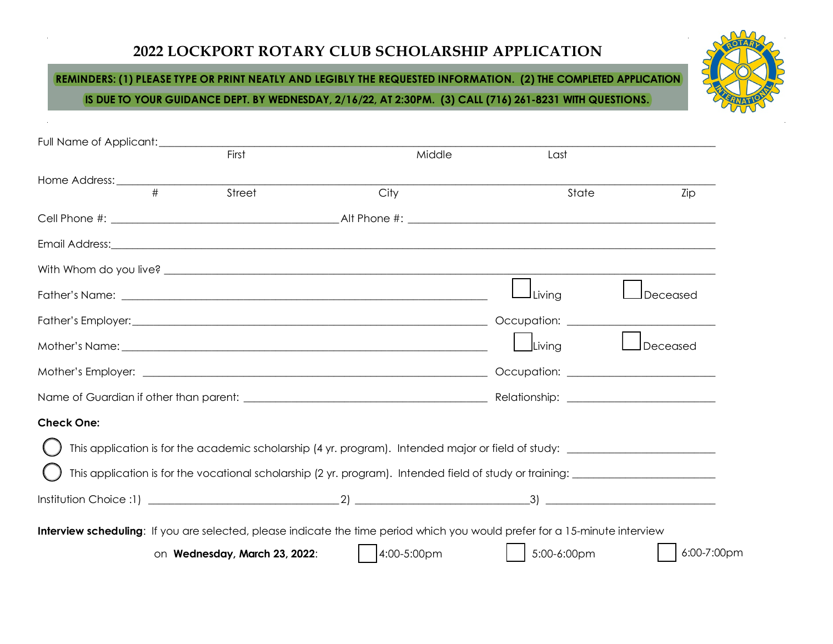## **2022 LOCKPORT ROTARY CLUB SCHOLARSHIP APPLICATION**

## **REMINDERS: (1) PLEASE TYPE OR PRINT NEATLY AND LEGIBLY THE REQUESTED INFORMATION. (2) THE COMPLETED APPLICATION**

**IS DUE TO YOUR GUIDANCE DEPT. BY WEDNESDAY, 2/16/22, AT 2:30PM. (3) CALL (716) 261-8231 WITH QUESTIONS.**



| Full Name of Applicant: ____________ |                               |                                                                                                                                                                                                                                     |             |             |
|--------------------------------------|-------------------------------|-------------------------------------------------------------------------------------------------------------------------------------------------------------------------------------------------------------------------------------|-------------|-------------|
|                                      | First                         | Middle                                                                                                                                                                                                                              | Last        |             |
|                                      |                               |                                                                                                                                                                                                                                     |             |             |
|                                      | Street                        | City                                                                                                                                                                                                                                | State       | Zip         |
|                                      |                               |                                                                                                                                                                                                                                     |             |             |
|                                      |                               |                                                                                                                                                                                                                                     |             |             |
|                                      |                               |                                                                                                                                                                                                                                     |             |             |
|                                      |                               | Father's Name: <u>experience</u> and the set of the set of the set of the set of the set of the set of the set of the set of the set of the set of the set of the set of the set of the set of the set of the set of the set of the | Living      | Deceased    |
|                                      |                               |                                                                                                                                                                                                                                     |             |             |
|                                      |                               |                                                                                                                                                                                                                                     | Living      | Deceased    |
|                                      |                               |                                                                                                                                                                                                                                     |             |             |
|                                      |                               |                                                                                                                                                                                                                                     |             |             |
| <b>Check One:</b>                    |                               |                                                                                                                                                                                                                                     |             |             |
|                                      |                               |                                                                                                                                                                                                                                     |             |             |
|                                      |                               |                                                                                                                                                                                                                                     |             |             |
|                                      |                               |                                                                                                                                                                                                                                     |             |             |
|                                      |                               | Interview scheduling: If you are selected, please indicate the time period which you would prefer for a 15-minute interview                                                                                                         |             |             |
|                                      |                               |                                                                                                                                                                                                                                     |             | 6:00-7:00pm |
|                                      | on Wednesday, March 23, 2022: | 4:00-5:00pm                                                                                                                                                                                                                         | 5:00-6:00pm |             |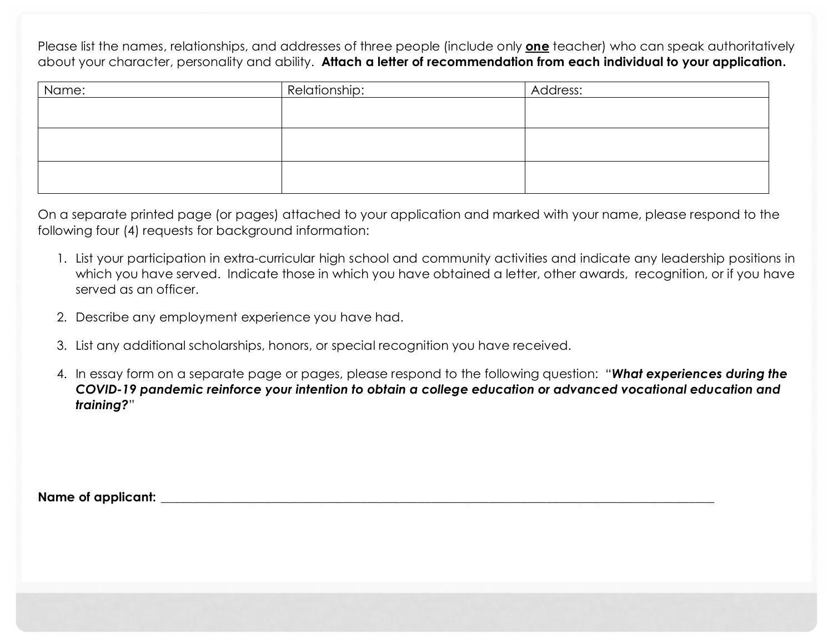Please list the names, relationships, and addresses of three people (include only **one** teacher) who can speak authoritatively about your character, personality and ability. **Attach a letter of recommendation from each individual to your application.**

| Name: | Relationship: | Address: |
|-------|---------------|----------|
|       |               |          |
|       |               |          |
|       |               |          |
|       |               |          |
|       |               |          |
|       |               |          |

On a separate printed page (or pages) attached to your application and marked with your name, please respond to the following four (4) requests for background information:

- 1. List your participation in extra-curricular high school and community activities and indicate any leadership positions in which you have served. Indicate those in which you have obtained a letter, other awards, recognition, or if you have served as an officer.
- 2. Describe any employment experience you have had.
- 3. List any additional scholarships, honors, or special recognition you have received.
- 4. In essay form on a separate page or pages, please respond to the following question: "*What experiences during the COVID-19 pandemic reinforce your intention to obtain a college education or advanced vocational education and training?*"

Name of applicant: